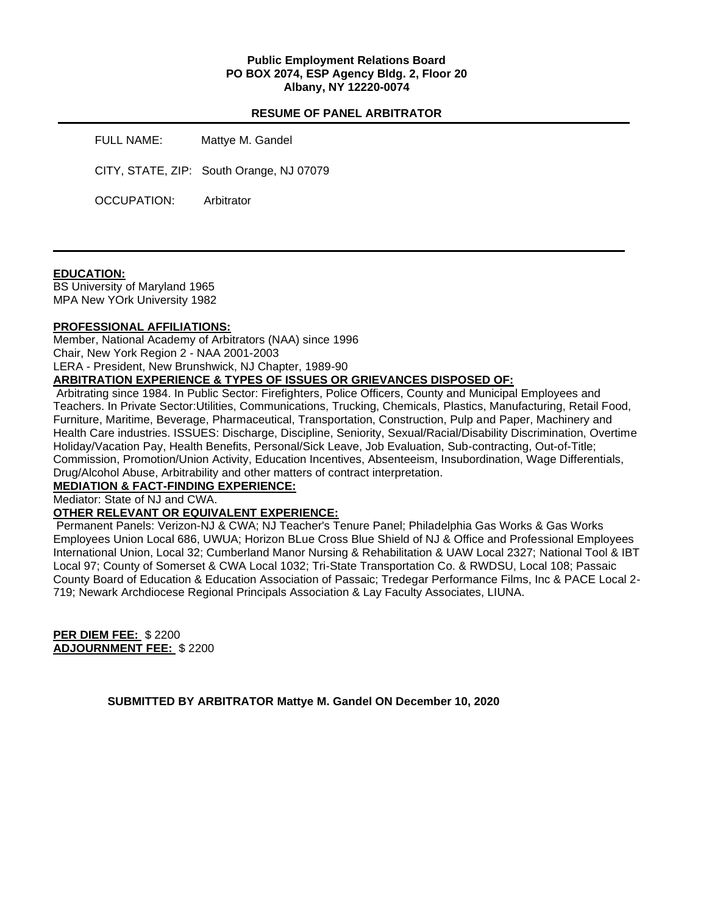### **Public Employment Relations Board PO BOX 2074, ESP Agency Bldg. 2, Floor 20 Albany, NY 12220-0074**

### **RESUME OF PANEL ARBITRATOR**

FULL NAME: Mattye M. Gandel

CITY, STATE, ZIP: South Orange, NJ 07079

OCCUPATION: Arbitrator

#### **EDUCATION:**

BS University of Maryland 1965 MPA New YOrk University 1982

### **PROFESSIONAL AFFILIATIONS:**

Member, National Academy of Arbitrators (NAA) since 1996 Chair, New York Region 2 - NAA 2001-2003 LERA - President, New Brunshwick, NJ Chapter, 1989-90

# **ARBITRATION EXPERIENCE & TYPES OF ISSUES OR GRIEVANCES DISPOSED OF:**

Arbitrating since 1984. In Public Sector: Firefighters, Police Officers, County and Municipal Employees and Teachers. In Private Sector:Utilities, Communications, Trucking, Chemicals, Plastics, Manufacturing, Retail Food, Furniture, Maritime, Beverage, Pharmaceutical, Transportation, Construction, Pulp and Paper, Machinery and Health Care industries. ISSUES: Discharge, Discipline, Seniority, Sexual/Racial/Disability Discrimination, Overtime Holiday/Vacation Pay, Health Benefits, Personal/Sick Leave, Job Evaluation, Sub-contracting, Out-of-Title; Commission, Promotion/Union Activity, Education Incentives, Absenteeism, Insubordination, Wage Differentials, Drug/Alcohol Abuse, Arbitrability and other matters of contract interpretation.

# **MEDIATION & FACT-FINDING EXPERIENCE:**

Mediator: State of NJ and CWA.

# **OTHER RELEVANT OR EQUIVALENT EXPERIENCE:**

Permanent Panels: Verizon-NJ & CWA; NJ Teacher's Tenure Panel; Philadelphia Gas Works & Gas Works Employees Union Local 686, UWUA; Horizon BLue Cross Blue Shield of NJ & Office and Professional Employees International Union, Local 32; Cumberland Manor Nursing & Rehabilitation & UAW Local 2327; National Tool & IBT Local 97; County of Somerset & CWA Local 1032; Tri-State Transportation Co. & RWDSU, Local 108; Passaic County Board of Education & Education Association of Passaic; Tredegar Performance Films, Inc & PACE Local 2- 719; Newark Archdiocese Regional Principals Association & Lay Faculty Associates, LIUNA.

**PER DIEM FEE:** \$ 2200 **ADJOURNMENT FEE:** \$ 2200

**SUBMITTED BY ARBITRATOR Mattye M. Gandel ON December 10, 2020**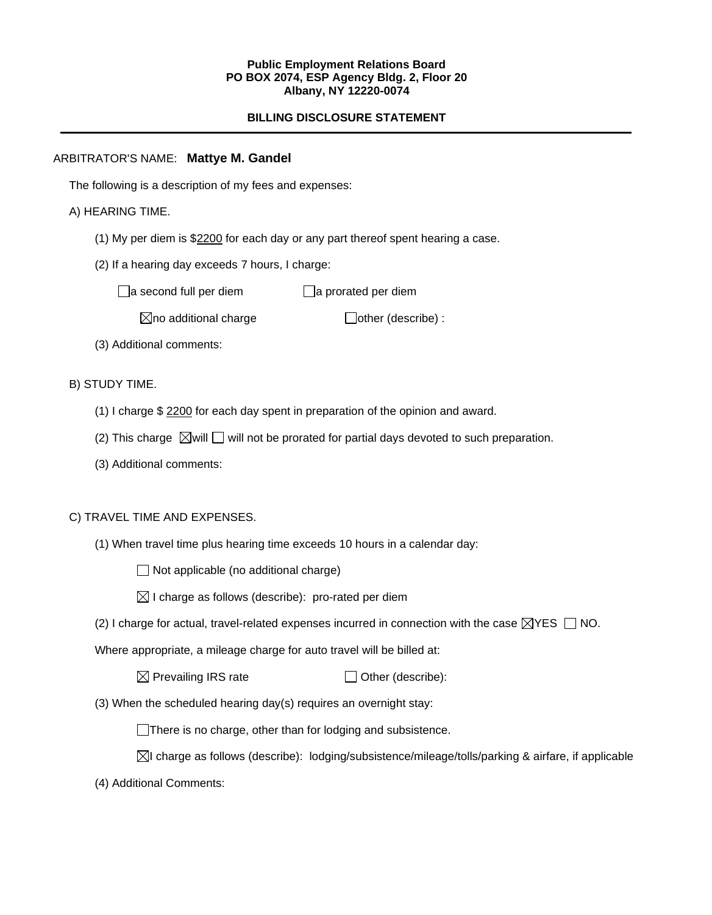### **Public Employment Relations Board PO BOX 2074, ESP Agency Bldg. 2, Floor 20 Albany, NY 12220-0074**

# **BILLING DISCLOSURE STATEMENT**

# ARBITRATOR'S NAME: **Mattye M. Gandel**

The following is a description of my fees and expenses:

# A) HEARING TIME.

- (1) My per diem is \$2200 for each day or any part thereof spent hearing a case.
- (2) If a hearing day exceeds 7 hours, I charge:

 $\Box$ a second full per diem  $\Box$ a prorated per diem

 $\boxtimes$ no additional charge  $\Box$ other (describe) :

(3) Additional comments:

B) STUDY TIME.

- (1) I charge \$ 2200 for each day spent in preparation of the opinion and award.
- (2) This charge  $\boxtimes$  will  $\Box$  will not be prorated for partial days devoted to such preparation.
- (3) Additional comments:

### C) TRAVEL TIME AND EXPENSES.

(1) When travel time plus hearing time exceeds 10 hours in a calendar day:

 $\Box$  Not applicable (no additional charge)

- $\boxtimes$  I charge as follows (describe): pro-rated per diem
- (2) I charge for actual, travel-related expenses incurred in connection with the case  $\boxtimes$ YES  $\Box$  NO.

Where appropriate, a mileage charge for auto travel will be billed at:

 $\boxtimes$  Prevailing IRS rate  $\Box$  Other (describe):

(3) When the scheduled hearing day(s) requires an overnight stay:

There is no charge, other than for lodging and subsistence.

- $\boxtimes$ I charge as follows (describe): lodging/subsistence/mileage/tolls/parking & airfare, if applicable
- (4) Additional Comments: